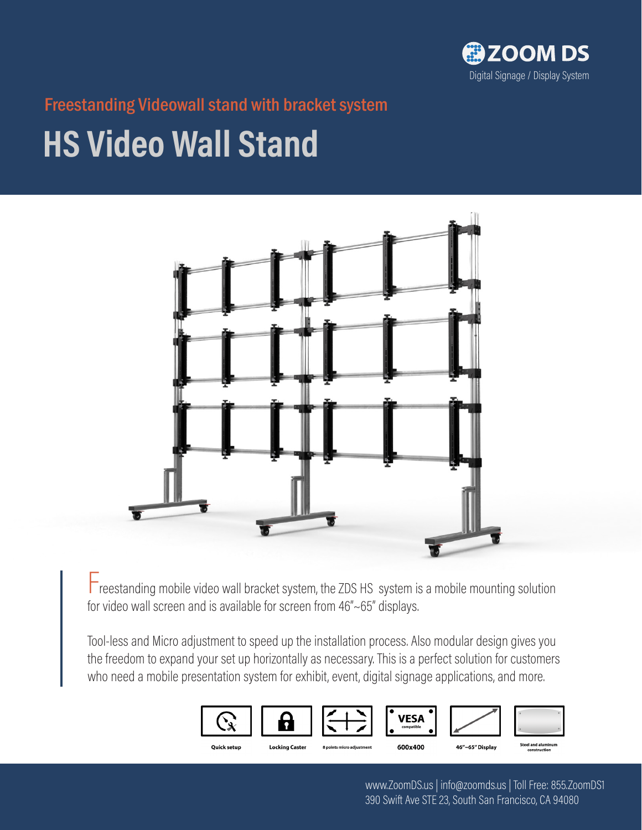

Freestanding Videowall stand with bracket system

# **HS Video Wall Stand**



Freestanding mobile video wall bracket system, the ZDS HS system is a mobile mounting solution for video wall screen and is available for screen from 46"~65" displays.

Tool-less and Micro adjustment to speed up the installation process. Also modular design gives you the freedom to expand your set up horizontally as necessary. This is a perfect solution for customers who need a mobile presentation system for exhibit, event, digital signage applications, and more.



www.ZoomDS.us | info@zoomds.us | Toll Free: 855.ZoomDS1 390 Swift Ave STE 23, South San Francisco, CA 94080